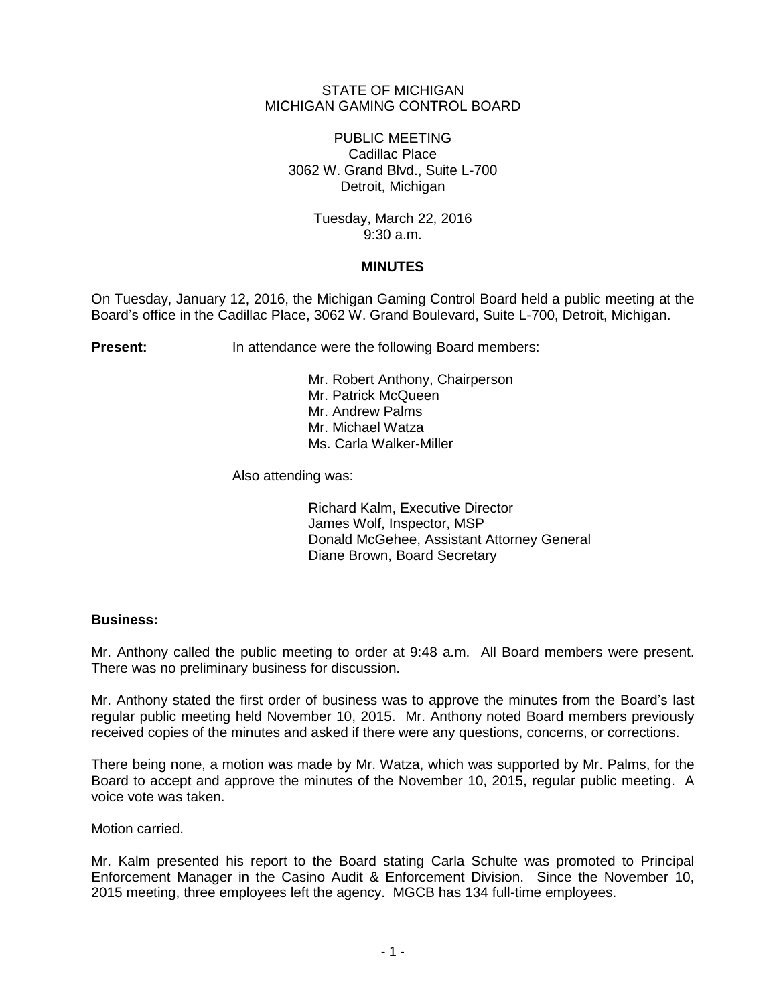# STATE OF MICHIGAN MICHIGAN GAMING CONTROL BOARD

PUBLIC MEETING Cadillac Place 3062 W. Grand Blvd., Suite L-700 Detroit, Michigan

> Tuesday, March 22, 2016 9:30 a.m.

# **MINUTES**

On Tuesday, January 12, 2016, the Michigan Gaming Control Board held a public meeting at the Board's office in the Cadillac Place, 3062 W. Grand Boulevard, Suite L-700, Detroit, Michigan.

**Present:** In attendance were the following Board members:

Mr. Robert Anthony, Chairperson Mr. Patrick McQueen Mr. Andrew Palms Mr. Michael Watza Ms. Carla Walker-Miller

Also attending was:

Richard Kalm, Executive Director James Wolf, Inspector, MSP Donald McGehee, Assistant Attorney General Diane Brown, Board Secretary

### **Business:**

Mr. Anthony called the public meeting to order at 9:48 a.m. All Board members were present. There was no preliminary business for discussion.

Mr. Anthony stated the first order of business was to approve the minutes from the Board's last regular public meeting held November 10, 2015. Mr. Anthony noted Board members previously received copies of the minutes and asked if there were any questions, concerns, or corrections.

There being none, a motion was made by Mr. Watza, which was supported by Mr. Palms, for the Board to accept and approve the minutes of the November 10, 2015, regular public meeting. A voice vote was taken.

Motion carried.

Mr. Kalm presented his report to the Board stating Carla Schulte was promoted to Principal Enforcement Manager in the Casino Audit & Enforcement Division. Since the November 10, 2015 meeting, three employees left the agency. MGCB has 134 full-time employees.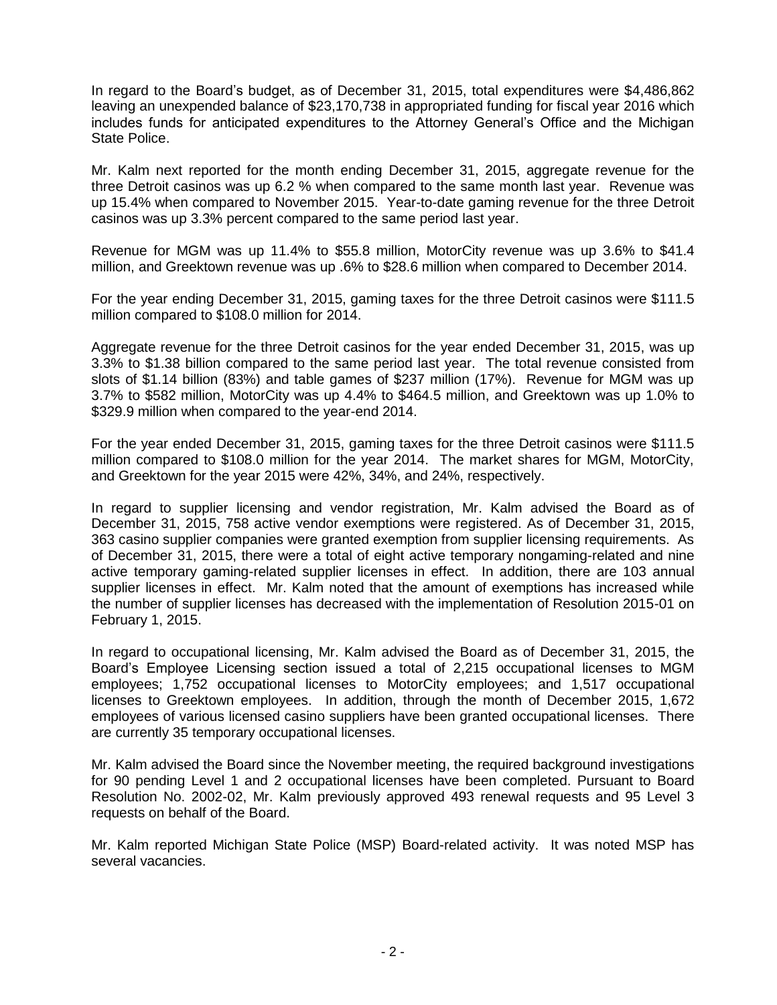In regard to the Board's budget, as of December 31, 2015, total expenditures were \$4,486,862 leaving an unexpended balance of \$23,170,738 in appropriated funding for fiscal year 2016 which includes funds for anticipated expenditures to the Attorney General's Office and the Michigan State Police.

Mr. Kalm next reported for the month ending December 31, 2015, aggregate revenue for the three Detroit casinos was up 6.2 % when compared to the same month last year. Revenue was up 15.4% when compared to November 2015. Year-to-date gaming revenue for the three Detroit casinos was up 3.3% percent compared to the same period last year.

Revenue for MGM was up 11.4% to \$55.8 million, MotorCity revenue was up 3.6% to \$41.4 million, and Greektown revenue was up .6% to \$28.6 million when compared to December 2014.

For the year ending December 31, 2015, gaming taxes for the three Detroit casinos were \$111.5 million compared to \$108.0 million for 2014.

Aggregate revenue for the three Detroit casinos for the year ended December 31, 2015, was up 3.3% to \$1.38 billion compared to the same period last year. The total revenue consisted from slots of \$1.14 billion (83%) and table games of \$237 million (17%). Revenue for MGM was up 3.7% to \$582 million, MotorCity was up 4.4% to \$464.5 million, and Greektown was up 1.0% to \$329.9 million when compared to the year-end 2014.

For the year ended December 31, 2015, gaming taxes for the three Detroit casinos were \$111.5 million compared to \$108.0 million for the year 2014. The market shares for MGM, MotorCity, and Greektown for the year 2015 were 42%, 34%, and 24%, respectively.

In regard to supplier licensing and vendor registration, Mr. Kalm advised the Board as of December 31, 2015, 758 active vendor exemptions were registered. As of December 31, 2015, 363 casino supplier companies were granted exemption from supplier licensing requirements. As of December 31, 2015, there were a total of eight active temporary nongaming-related and nine active temporary gaming-related supplier licenses in effect. In addition, there are 103 annual supplier licenses in effect. Mr. Kalm noted that the amount of exemptions has increased while the number of supplier licenses has decreased with the implementation of Resolution 2015-01 on February 1, 2015.

In regard to occupational licensing, Mr. Kalm advised the Board as of December 31, 2015, the Board's Employee Licensing section issued a total of 2,215 occupational licenses to MGM employees; 1,752 occupational licenses to MotorCity employees; and 1,517 occupational licenses to Greektown employees. In addition, through the month of December 2015, 1,672 employees of various licensed casino suppliers have been granted occupational licenses. There are currently 35 temporary occupational licenses.

Mr. Kalm advised the Board since the November meeting, the required background investigations for 90 pending Level 1 and 2 occupational licenses have been completed. Pursuant to Board Resolution No. 2002-02, Mr. Kalm previously approved 493 renewal requests and 95 Level 3 requests on behalf of the Board.

Mr. Kalm reported Michigan State Police (MSP) Board-related activity. It was noted MSP has several vacancies.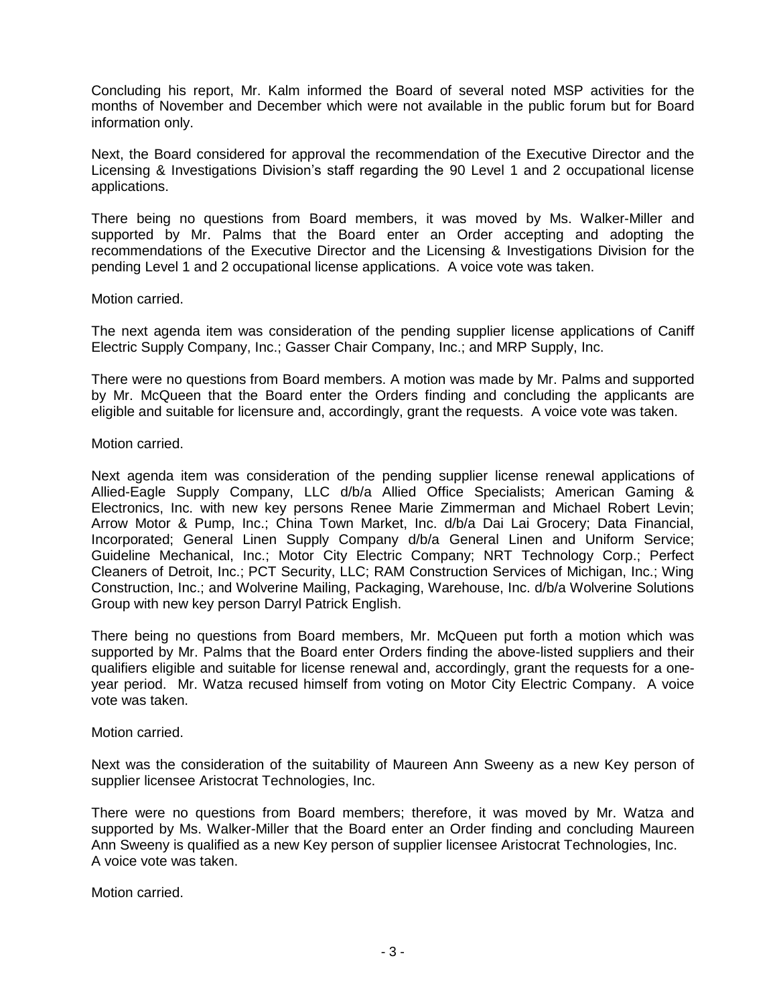Concluding his report, Mr. Kalm informed the Board of several noted MSP activities for the months of November and December which were not available in the public forum but for Board information only.

Next, the Board considered for approval the recommendation of the Executive Director and the Licensing & Investigations Division's staff regarding the 90 Level 1 and 2 occupational license applications.

There being no questions from Board members, it was moved by Ms. Walker-Miller and supported by Mr. Palms that the Board enter an Order accepting and adopting the recommendations of the Executive Director and the Licensing & Investigations Division for the pending Level 1 and 2 occupational license applications. A voice vote was taken.

### Motion carried.

The next agenda item was consideration of the pending supplier license applications of Caniff Electric Supply Company, Inc.; Gasser Chair Company, Inc.; and MRP Supply, Inc.

There were no questions from Board members. A motion was made by Mr. Palms and supported by Mr. McQueen that the Board enter the Orders finding and concluding the applicants are eligible and suitable for licensure and, accordingly, grant the requests. A voice vote was taken.

### Motion carried.

Next agenda item was consideration of the pending supplier license renewal applications of Allied-Eagle Supply Company, LLC d/b/a Allied Office Specialists; American Gaming & Electronics, Inc. with new key persons Renee Marie Zimmerman and Michael Robert Levin; Arrow Motor & Pump, Inc.; China Town Market, Inc. d/b/a Dai Lai Grocery; Data Financial, Incorporated; General Linen Supply Company d/b/a General Linen and Uniform Service; Guideline Mechanical, Inc.; Motor City Electric Company; NRT Technology Corp.; Perfect Cleaners of Detroit, Inc.; PCT Security, LLC; RAM Construction Services of Michigan, Inc.; Wing Construction, Inc.; and Wolverine Mailing, Packaging, Warehouse, Inc. d/b/a Wolverine Solutions Group with new key person Darryl Patrick English.

There being no questions from Board members, Mr. McQueen put forth a motion which was supported by Mr. Palms that the Board enter Orders finding the above-listed suppliers and their qualifiers eligible and suitable for license renewal and, accordingly, grant the requests for a oneyear period. Mr. Watza recused himself from voting on Motor City Electric Company. A voice vote was taken.

### Motion carried.

Next was the consideration of the suitability of Maureen Ann Sweeny as a new Key person of supplier licensee Aristocrat Technologies, Inc.

There were no questions from Board members; therefore, it was moved by Mr. Watza and supported by Ms. Walker-Miller that the Board enter an Order finding and concluding Maureen Ann Sweeny is qualified as a new Key person of supplier licensee Aristocrat Technologies, Inc. A voice vote was taken.

Motion carried.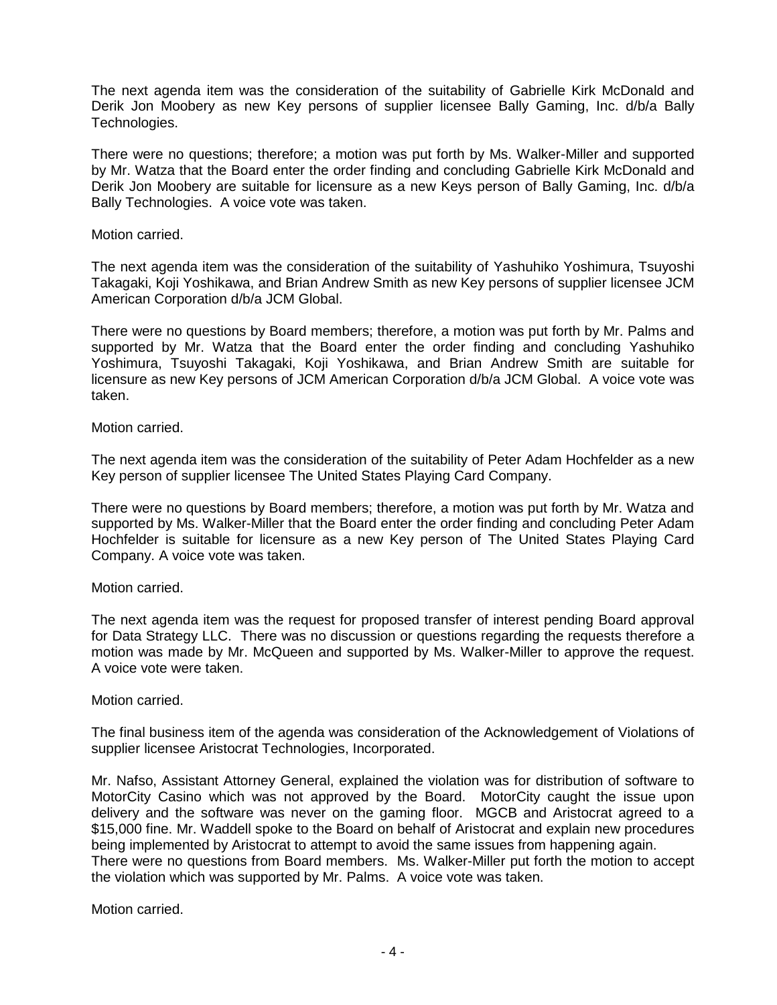The next agenda item was the consideration of the suitability of Gabrielle Kirk McDonald and Derik Jon Moobery as new Key persons of supplier licensee Bally Gaming, Inc. d/b/a Bally Technologies.

There were no questions; therefore; a motion was put forth by Ms. Walker-Miller and supported by Mr. Watza that the Board enter the order finding and concluding Gabrielle Kirk McDonald and Derik Jon Moobery are suitable for licensure as a new Keys person of Bally Gaming, Inc. d/b/a Bally Technologies. A voice vote was taken.

### Motion carried.

The next agenda item was the consideration of the suitability of Yashuhiko Yoshimura, Tsuyoshi Takagaki, Koji Yoshikawa, and Brian Andrew Smith as new Key persons of supplier licensee JCM American Corporation d/b/a JCM Global.

There were no questions by Board members; therefore, a motion was put forth by Mr. Palms and supported by Mr. Watza that the Board enter the order finding and concluding Yashuhiko Yoshimura, Tsuyoshi Takagaki, Koji Yoshikawa, and Brian Andrew Smith are suitable for licensure as new Key persons of JCM American Corporation d/b/a JCM Global. A voice vote was taken.

Motion carried.

The next agenda item was the consideration of the suitability of Peter Adam Hochfelder as a new Key person of supplier licensee The United States Playing Card Company.

There were no questions by Board members; therefore, a motion was put forth by Mr. Watza and supported by Ms. Walker-Miller that the Board enter the order finding and concluding Peter Adam Hochfelder is suitable for licensure as a new Key person of The United States Playing Card Company. A voice vote was taken.

### Motion carried.

The next agenda item was the request for proposed transfer of interest pending Board approval for Data Strategy LLC. There was no discussion or questions regarding the requests therefore a motion was made by Mr. McQueen and supported by Ms. Walker-Miller to approve the request. A voice vote were taken.

### Motion carried.

The final business item of the agenda was consideration of the Acknowledgement of Violations of supplier licensee Aristocrat Technologies, Incorporated.

Mr. Nafso, Assistant Attorney General, explained the violation was for distribution of software to MotorCity Casino which was not approved by the Board. MotorCity caught the issue upon delivery and the software was never on the gaming floor. MGCB and Aristocrat agreed to a \$15,000 fine. Mr. Waddell spoke to the Board on behalf of Aristocrat and explain new procedures being implemented by Aristocrat to attempt to avoid the same issues from happening again. There were no questions from Board members. Ms. Walker-Miller put forth the motion to accept the violation which was supported by Mr. Palms. A voice vote was taken.

Motion carried.